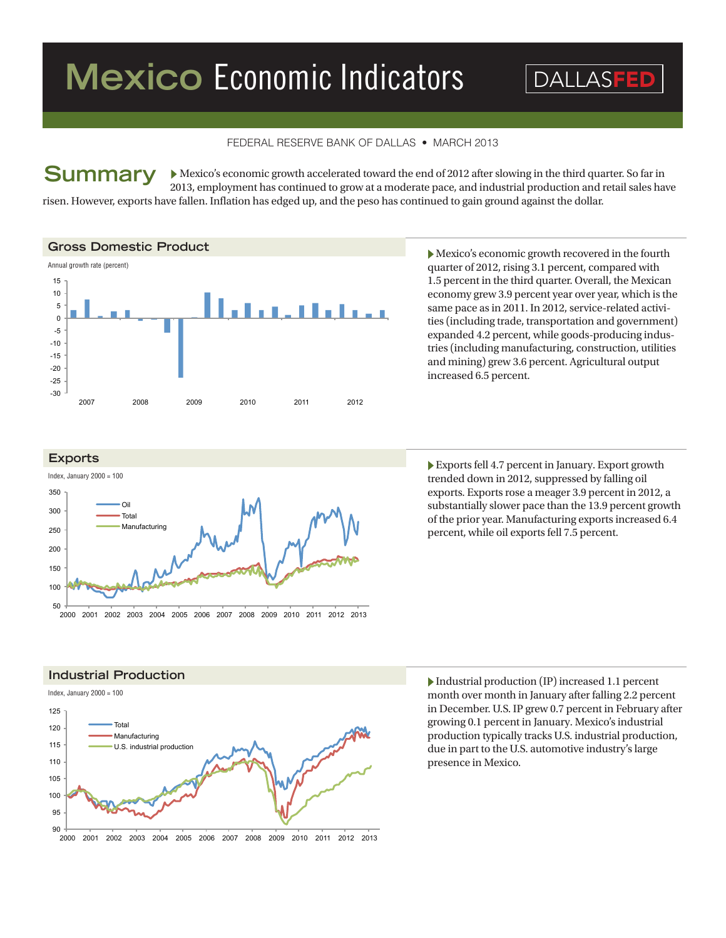# **Mexico Economic Indicators DALLASFED**

## FEDERAL RESERVE BANK OF DALLAS • MARCH 2013

 Mexico's economic growth accelerated toward the end of 2012 after slowing in the third quarter. So far in 2013, employment has continued to grow at a moderate pace, and industrial production and retail sales have risen. However, exports have fallen. Inflation has edged up, and the peso has continued to gain ground against the dollar. **Summary**

#### **Gross Domestic Product**



 $\blacktriangleright$  Mexico's economic growth recovered in the fourth quarter of 2012, rising 3.1 percent, compared with 1.5 percent in the third quarter. Overall, the Mexican economy grew 3.9 percent year over year, which is the same pace as in 2011. In 2012, service-related activities (including trade, transportation and government) expanded 4.2 percent, while goods-producing industries (including manufacturing, construction, utilities and mining) grew 3.6 percent. Agricultural output increased 6.5 percent.



 $\blacktriangleright$  Exports fell 4.7 percent in January. Export growth trended down in 2012, suppressed by falling oil exports. Exports rose a meager 3.9 percent in 2012, a substantially slower pace than the 13.9 percent growth of the prior year. Manufacturing exports increased 6.4 percent, while oil exports fell 7.5 percent.





 $\blacktriangleright$  Industrial production (IP) increased 1.1 percent month over month in January after falling 2.2 percent in December. U.S. IP grew 0.7 percent in February after growing 0.1 percent in January. Mexico's industrial production typically tracks U.S. industrial production, due in part to the U.S. automotive industry's large presence in Mexico.